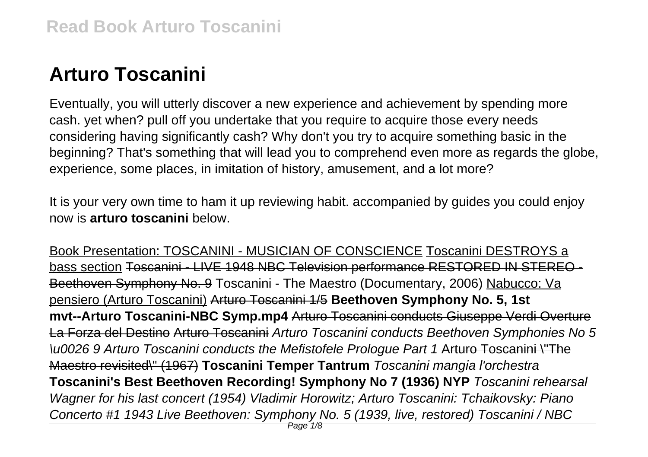## **Arturo Toscanini**

Eventually, you will utterly discover a new experience and achievement by spending more cash. yet when? pull off you undertake that you require to acquire those every needs considering having significantly cash? Why don't you try to acquire something basic in the beginning? That's something that will lead you to comprehend even more as regards the globe, experience, some places, in imitation of history, amusement, and a lot more?

It is your very own time to ham it up reviewing habit. accompanied by guides you could enjoy now is **arturo toscanini** below.

Book Presentation: TOSCANINI - MUSICIAN OF CONSCIENCE Toscanini DESTROYS a bass section Toscanini - LIVE 1948 NBC Television performance RESTORED IN STEREO - Beethoven Symphony No. 9 Toscanini - The Maestro (Documentary, 2006) Nabucco: Va pensiero (Arturo Toscanini) Arturo Toscanini 1/5 **Beethoven Symphony No. 5, 1st mvt--Arturo Toscanini-NBC Symp.mp4** Arturo Toscanini conducts Giuseppe Verdi Overture La Forza del Destino Arturo Toscanini Arturo Toscanini conducts Beethoven Symphonies No 5 \u0026 9 Arturo Toscanini conducts the Mefistofele Prologue Part 1 Arturo Toscanini \"The Maestro revisited\" (1967) **Toscanini Temper Tantrum** Toscanini mangia l'orchestra **Toscanini's Best Beethoven Recording! Symphony No 7 (1936) NYP** Toscanini rehearsal Wagner for his last concert (1954) Vladimir Horowitz; Arturo Toscanini: Tchaikovsky: Piano Concerto #1 1943 Live Beethoven: Symphony No. 5 (1939, live, restored) Toscanini / NBC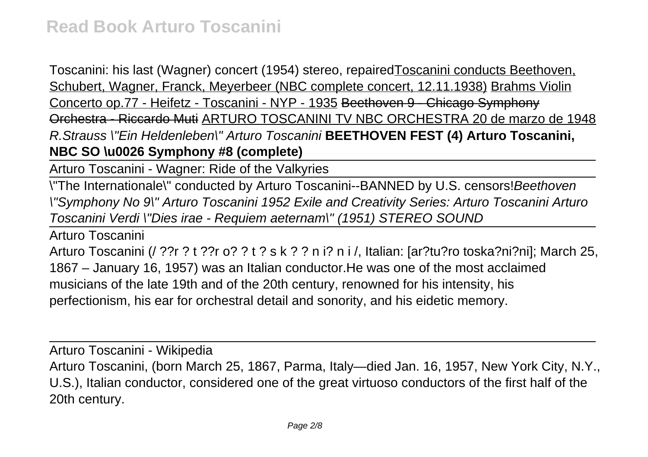Toscanini: his last (Wagner) concert (1954) stereo, repairedToscanini conducts Beethoven, Schubert, Wagner, Franck, Meyerbeer (NBC complete concert, 12.11.1938) Brahms Violin Concerto op.77 - Heifetz - Toscanini - NYP - 1935 Beethoven 9 - Chicago Symphony Orchestra - Riccardo Muti ARTURO TOSCANINI TV NBC ORCHESTRA 20 de marzo de 1948 R.Strauss \"Ein Heldenleben\" Arturo Toscanini **BEETHOVEN FEST (4) Arturo Toscanini, NBC SO \u0026 Symphony #8 (complete)**

Arturo Toscanini - Wagner: Ride of the Valkyries

\"The Internationale\" conducted by Arturo Toscanini--BANNED by U.S. censors!Beethoven \"Symphony No 9\" Arturo Toscanini 1952 Exile and Creativity Series: Arturo Toscanini Arturo Toscanini Verdi \"Dies irae - Requiem aeternam\" (1951) STEREO SOUND

Arturo Toscanini

Arturo Toscanini (/ ??r ? t ??r o? ? t ? s k ? ? n i? n i /, Italian: [ar?tu?ro toska?ni?ni]; March 25, 1867 – January 16, 1957) was an Italian conductor.He was one of the most acclaimed musicians of the late 19th and of the 20th century, renowned for his intensity, his perfectionism, his ear for orchestral detail and sonority, and his eidetic memory.

Arturo Toscanini - Wikipedia Arturo Toscanini, (born March 25, 1867, Parma, Italy—died Jan. 16, 1957, New York City, N.Y., U.S.), Italian conductor, considered one of the great virtuoso conductors of the first half of the 20th century.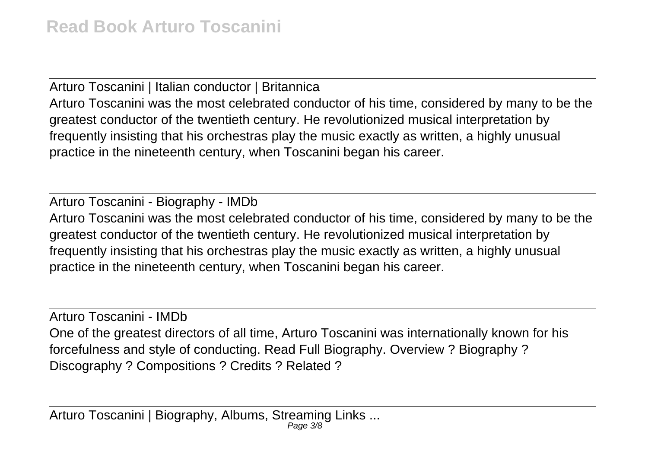Arturo Toscanini | Italian conductor | Britannica Arturo Toscanini was the most celebrated conductor of his time, considered by many to be the greatest conductor of the twentieth century. He revolutionized musical interpretation by frequently insisting that his orchestras play the music exactly as written, a highly unusual practice in the nineteenth century, when Toscanini began his career.

Arturo Toscanini - Biography - IMDb Arturo Toscanini was the most celebrated conductor of his time, considered by many to be the greatest conductor of the twentieth century. He revolutionized musical interpretation by frequently insisting that his orchestras play the music exactly as written, a highly unusual practice in the nineteenth century, when Toscanini began his career.

Arturo Toscanini - IMDb One of the greatest directors of all time, Arturo Toscanini was internationally known for his forcefulness and style of conducting. Read Full Biography. Overview ? Biography ? Discography ? Compositions ? Credits ? Related ?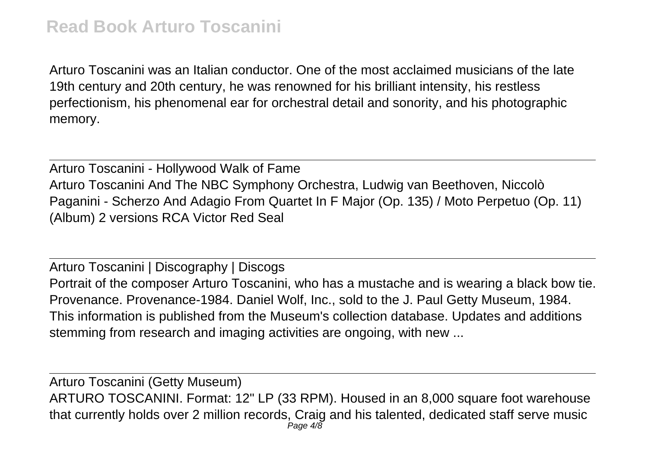Arturo Toscanini was an Italian conductor. One of the most acclaimed musicians of the late 19th century and 20th century, he was renowned for his brilliant intensity, his restless perfectionism, his phenomenal ear for orchestral detail and sonority, and his photographic memory.

Arturo Toscanini - Hollywood Walk of Fame Arturo Toscanini And The NBC Symphony Orchestra, Ludwig van Beethoven, Niccolò Paganini - Scherzo And Adagio From Quartet In F Major (Op. 135) / Moto Perpetuo (Op. 11) (Album) 2 versions RCA Victor Red Seal

Arturo Toscanini | Discography | Discogs Portrait of the composer Arturo Toscanini, who has a mustache and is wearing a black bow tie. Provenance. Provenance-1984. Daniel Wolf, Inc., sold to the J. Paul Getty Museum, 1984. This information is published from the Museum's collection database. Updates and additions stemming from research and imaging activities are ongoing, with new ...

Arturo Toscanini (Getty Museum) ARTURO TOSCANINI. Format: 12" LP (33 RPM). Housed in an 8,000 square foot warehouse that currently holds over 2 million records, Craig and his talented, dedicated staff serve music Page  $4/8$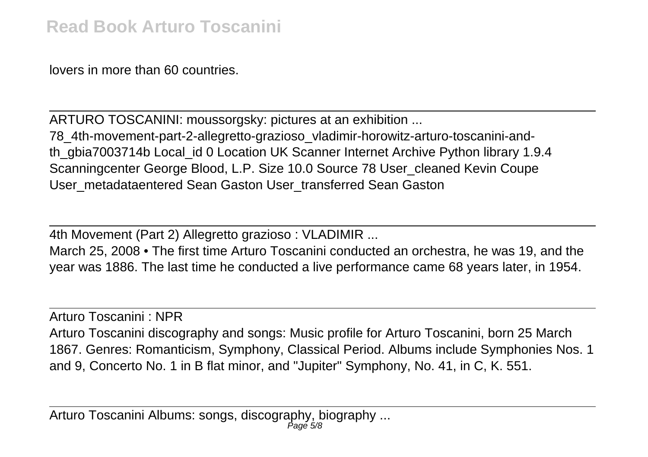lovers in more than 60 countries.

ARTURO TOSCANINI: moussorgsky: pictures at an exhibition ... 78\_4th-movement-part-2-allegretto-grazioso\_vladimir-horowitz-arturo-toscanini-andth\_gbia7003714b Local\_id 0 Location UK Scanner Internet Archive Python library 1.9.4 Scanningcenter George Blood, L.P. Size 10.0 Source 78 User\_cleaned Kevin Coupe User\_metadataentered Sean Gaston User\_transferred Sean Gaston

4th Movement (Part 2) Allegretto grazioso : VLADIMIR ...

March 25, 2008 • The first time Arturo Toscanini conducted an orchestra, he was 19, and the year was 1886. The last time he conducted a live performance came 68 years later, in 1954.

Arturo Toscanini : NPR Arturo Toscanini discography and songs: Music profile for Arturo Toscanini, born 25 March 1867. Genres: Romanticism, Symphony, Classical Period. Albums include Symphonies Nos. 1 and 9, Concerto No. 1 in B flat minor, and "Jupiter" Symphony, No. 41, in C, K. 551.

Arturo Toscanini Albums: songs, discography, biography ...<br>Page 5/8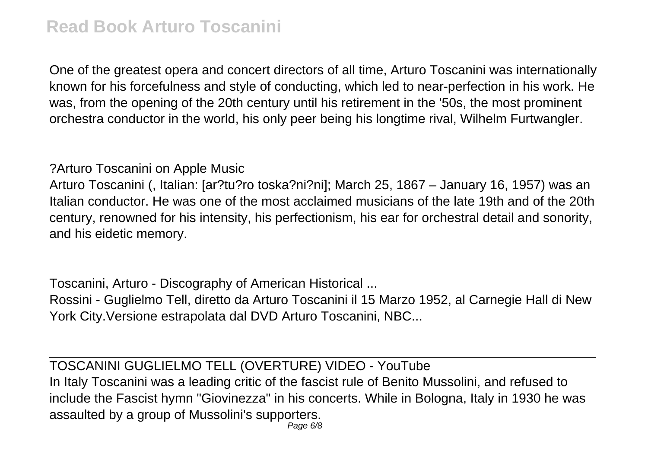One of the greatest opera and concert directors of all time, Arturo Toscanini was internationally known for his forcefulness and style of conducting, which led to near-perfection in his work. He was, from the opening of the 20th century until his retirement in the '50s, the most prominent orchestra conductor in the world, his only peer being his longtime rival, Wilhelm Furtwangler.

?Arturo Toscanini on Apple Music Arturo Toscanini (, Italian: [ar?tu?ro toska?ni?ni]; March 25, 1867 – January 16, 1957) was an Italian conductor. He was one of the most acclaimed musicians of the late 19th and of the 20th century, renowned for his intensity, his perfectionism, his ear for orchestral detail and sonority, and his eidetic memory.

Toscanini, Arturo - Discography of American Historical ... Rossini - Guglielmo Tell, diretto da Arturo Toscanini il 15 Marzo 1952, al Carnegie Hall di New York City.Versione estrapolata dal DVD Arturo Toscanini, NBC...

TOSCANINI GUGLIELMO TELL (OVERTURE) VIDEO - YouTube In Italy Toscanini was a leading critic of the fascist rule of Benito Mussolini, and refused to include the Fascist hymn "Giovinezza" in his concerts. While in Bologna, Italy in 1930 he was assaulted by a group of Mussolini's supporters. Page 6/8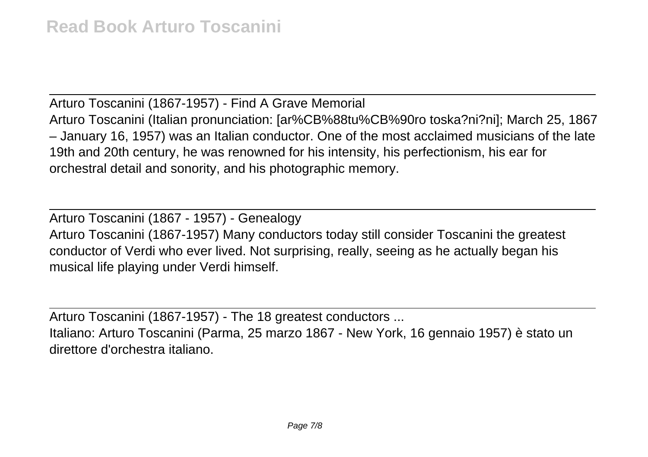Arturo Toscanini (1867-1957) - Find A Grave Memorial Arturo Toscanini (Italian pronunciation: [ar%CB%88tu%CB%90ro toska?ni?ni]; March 25, 1867 – January 16, 1957) was an Italian conductor. One of the most acclaimed musicians of the late 19th and 20th century, he was renowned for his intensity, his perfectionism, his ear for orchestral detail and sonority, and his photographic memory.

Arturo Toscanini (1867 - 1957) - Genealogy Arturo Toscanini (1867-1957) Many conductors today still consider Toscanini the greatest conductor of Verdi who ever lived. Not surprising, really, seeing as he actually began his musical life playing under Verdi himself.

Arturo Toscanini (1867-1957) - The 18 greatest conductors ...

Italiano: Arturo Toscanini (Parma, 25 marzo 1867 - New York, 16 gennaio 1957) è stato un direttore d'orchestra italiano.